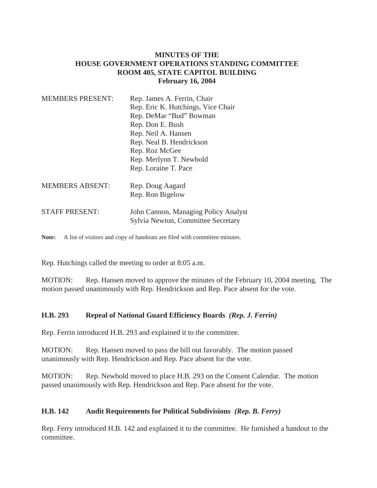# **MINUTES OF THE HOUSE GOVERNMENT OPERATIONS STANDING COMMITTEE ROOM 405, STATE CAPITOL BUILDING February 16, 2004**

| <b>MEMBERS PRESENT:</b> | Rep. James A. Ferrin, Chair<br>Rep. Eric K. Hutchings, Vice Chair<br>Rep. DeMar "Bud" Bowman<br>Rep. Don E. Bush<br>Rep. Neil A. Hansen<br>Rep. Neal B. Hendrickson<br>Rep. Roz McGee<br>Rep. Merlynn T. Newbold<br>Rep. Loraine T. Pace |
|-------------------------|------------------------------------------------------------------------------------------------------------------------------------------------------------------------------------------------------------------------------------------|
| <b>MEMBERS ABSENT:</b>  | Rep. Doug Aagard<br>Rep. Ron Bigelow                                                                                                                                                                                                     |
| <b>STAFF PRESENT:</b>   | John Cannon, Managing Policy Analyst<br>Sylvia Newton, Committee Secretary                                                                                                                                                               |
|                         |                                                                                                                                                                                                                                          |

Note: A list of visitors and copy of handouts are filed with committee minutes.

Rep. Hutchings called the meeting to order at 8:05 a.m.

MOTION: Rep. Hansen moved to approve the minutes of the February 10, 2004 meeting. The motion passed unanimously with Rep. Hendrickson and Rep. Pace absent for the vote.

# **H.B. 293 Repeal of National Guard Efficiency Boards** *(Rep. J. Ferrin)*

Rep. Ferrin introduced H.B. 293 and explained it to the committee.

MOTION: Rep. Hansen moved to pass the bill out favorably. The motion passed unanimously with Rep. Hendrickson and Rep. Pace absent for the vote.

MOTION: Rep. Newbold moved to place H.B. 293 on the Consent Calendar. The motion passed unanimously with Rep. Hendrickson and Rep. Pace absent for the vote.

# **H.B. 142 Audit Requirements for Political Subdivisions** *(Rep. B. Ferry)*

Rep. Ferry introduced H.B. 142 and explained it to the committee. He furnished a handout to the committee.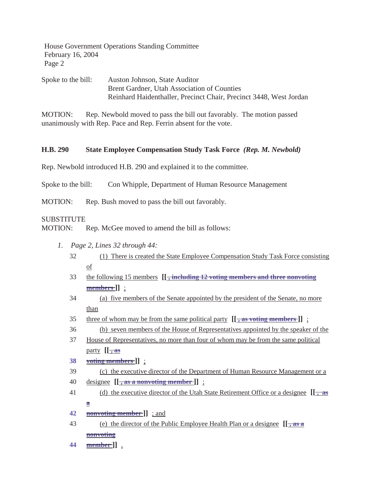House Government Operations Standing Committee February 16, 2004 Page 2

Spoke to the bill: Auston Johnson, State Auditor Brent Gardner, Utah Association of Counties Reinhard Haidenthaller, Precinct Chair, Precinct 3448, West Jordan

MOTION: Rep. Newbold moved to pass the bill out favorably. The motion passed unanimously with Rep. Pace and Rep. Ferrin absent for the vote.

### **H.B. 290 State Employee Compensation Study Task Force** *(Rep. M. Newbold)*

Rep. Newbold introduced H.B. 290 and explained it to the committee.

Spoke to the bill: Con Whipple, Department of Human Resource Management

MOTION: Rep. Bush moved to pass the bill out favorably.

#### SUBSTITUTE

MOTION: Rep. McGee moved to amend the bill as follows:

- *1. Page 2, Lines 32 through 44:*
	- 32 (1) There is created the State Employee Compensation Study Task Force consisting of
	- 33 the following 15 members **[[ , including 12 voting members and three nonvoting members ]]** :
	- 34 (a) five members of the Senate appointed by the president of the Senate, no more than
	- 35 three of whom may be from the same political party **[[ , as voting members ]]** ;
	- 36 (b) seven members of the House of Representatives appointed by the speaker of the
	- 37 House of Representatives, no more than four of whom may be from the same political party  $[[\frac{1}{2}, \frac{1}{2}]$
	- **38 voting members ]]** ;
	- 39 (c) the executive director of the Department of Human Resource Management or a
	- 40 designee **[[ , as a nonvoting member ]]** ;
	- 41 (d) the executive director of the Utah State Retirement Office or a designee **[[ , as a**
	- **42 nonvoting member ]]** ; and
	- 43 (e) the director of the Public Employee Health Plan or a designee **[[ , as a nonvoting**
	- **44 member ]]** .